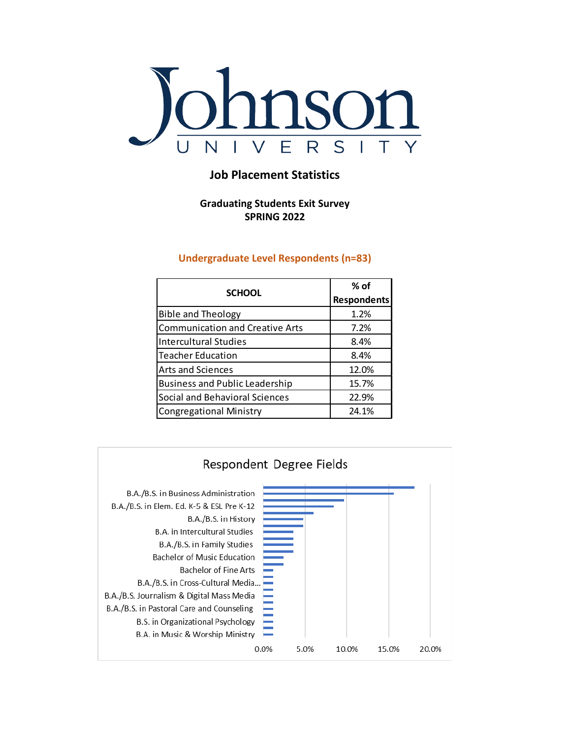

## **Job Placement Statistics**

#### **Graduating Students Exit Survey SPRING 2022**

#### **Undergraduate Level Respondents (n=83)**

| <b>SCHOOL</b>                          | $%$ of             |
|----------------------------------------|--------------------|
|                                        | <b>Respondents</b> |
| <b>Bible and Theology</b>              | 1.2%               |
| <b>Communication and Creative Arts</b> | 7.2%               |
| <b>Intercultural Studies</b>           | 8.4%               |
| <b>Teacher Education</b>               | 8.4%               |
| <b>Arts and Sciences</b>               | 12.0%              |
| <b>Business and Public Leadership</b>  | 15.7%              |
| Social and Behavioral Sciences         | 22.9%              |
| <b>Congregational Ministry</b>         | 24.1%              |

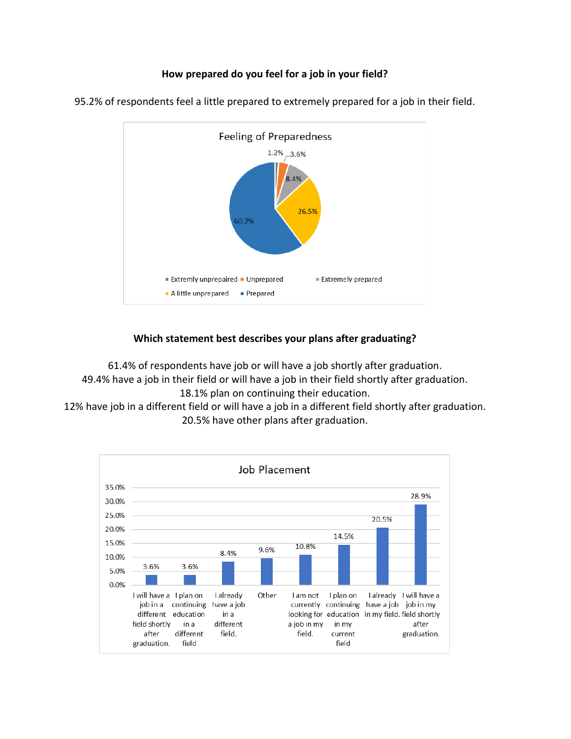### **How prepared do you feel for a job in your field?**



95.2% of respondents feel a little prepared to extremely prepared for a job in their field.

## **Which statement best describes your plans after graduating?**

61.4% of respondents have job or will have a job shortly after graduation. 49.4% have a job in their field or will have a job in their field shortly after graduation. 18.1% plan on continuing their education.

12% have job in a different field or will have a job in a different field shortly after graduation. 20.5% have other plans after graduation.

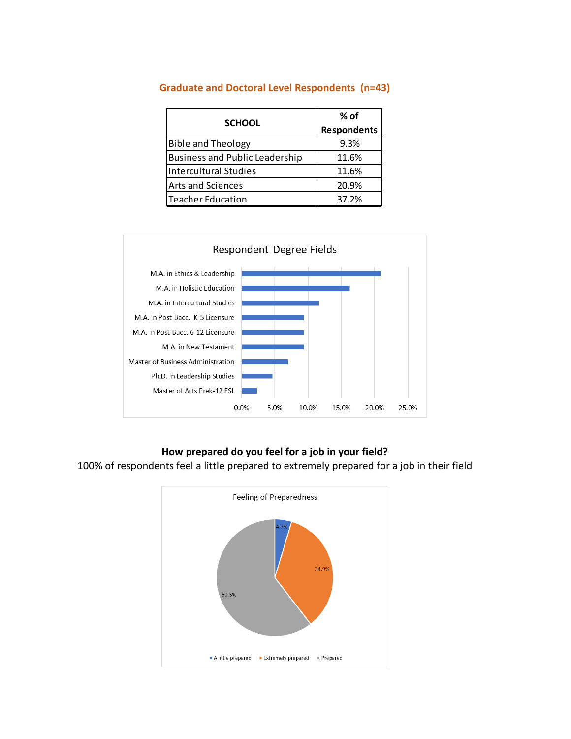| <b>SCHOOL</b>                         | $%$ of             |
|---------------------------------------|--------------------|
|                                       | <b>Respondents</b> |
| <b>Bible and Theology</b>             | 9.3%               |
| <b>Business and Public Leadership</b> | 11.6%              |
| <b>Intercultural Studies</b>          | 11.6%              |
| <b>Arts and Sciences</b>              | 20.9%              |
| <b>Teacher Education</b>              | 37.2%              |

## **Graduate and Doctoral Level Respondents (n=43)**



## **How prepared do you feel for a job in your field?**

100% of respondents feel a little prepared to extremely prepared for a job in their field

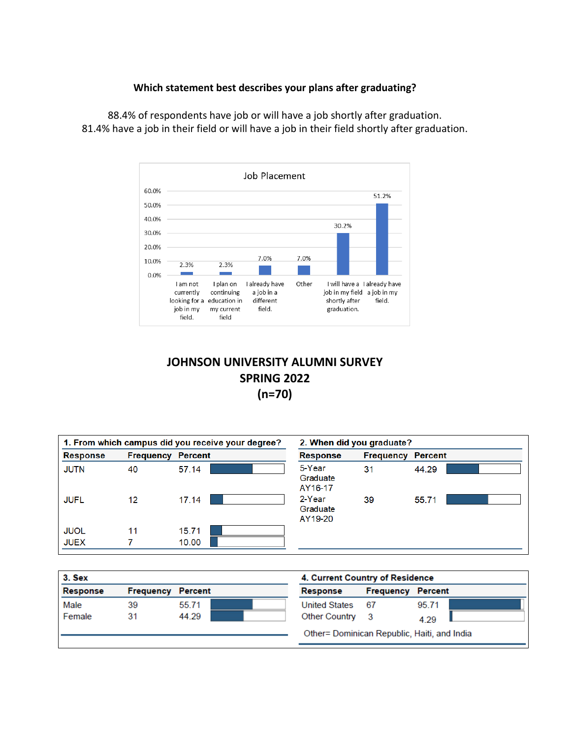#### **Which statement best describes your plans after graduating?**



88.4% of respondents have job or will have a job shortly after graduation. 81.4% have a job in their field or will have a job in their field shortly after graduation.

# **JOHNSON UNIVERSITY ALUMNI SURVEY SPRING 2022 (n=70)**

| 1. From which campus did you receive your degree? |                          |       | 2. When did you graduate?     |                          |       |
|---------------------------------------------------|--------------------------|-------|-------------------------------|--------------------------|-------|
| <b>Response</b>                                   | <b>Frequency Percent</b> |       | <b>Response</b>               | <b>Frequency Percent</b> |       |
| <b>JUTN</b>                                       | 40                       | 57.14 | 5-Year<br>Graduate<br>AY16-17 | 31                       | 44.29 |
| <b>JUFL</b>                                       | 12                       | 17.14 | 2-Year<br>Graduate<br>AY19-20 | 39                       | 55.71 |
| <b>JUOL</b>                                       | 11                       | 15.71 |                               |                          |       |
| <b>JUEX</b>                                       |                          | 10.00 |                               |                          |       |

| <b>3. Sex</b>   |                  |         | 4. Current Country of Residence             |           |         |  |
|-----------------|------------------|---------|---------------------------------------------|-----------|---------|--|
| <b>Response</b> | <b>Frequency</b> | Percent | Response                                    | Frequency | Percent |  |
| Male            | 39               | 55.71   | <b>United States</b>                        | -67       | 95.71   |  |
| Female          | 31               | 44.29   | Other Country 3                             |           | 4.29    |  |
|                 |                  |         | Other= Dominican Republic, Haiti, and India |           |         |  |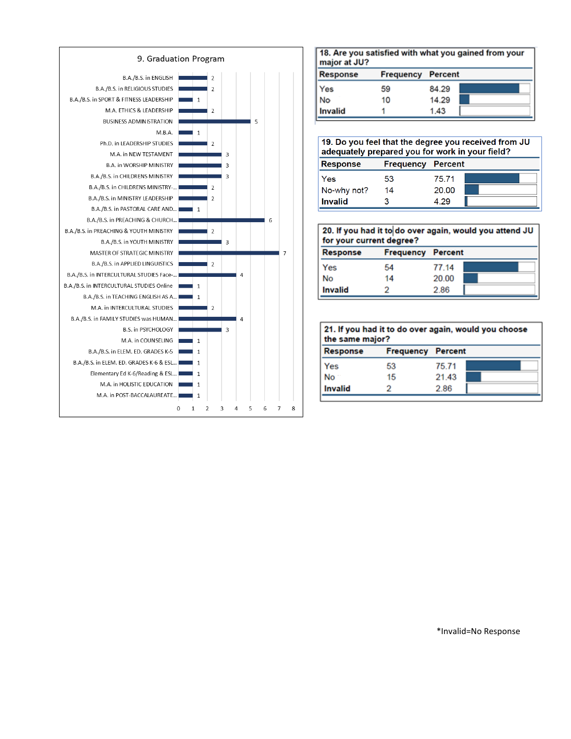

| major at JU?    |                  |         | 18. Are you satisfied with what you gained from your |
|-----------------|------------------|---------|------------------------------------------------------|
| <b>Response</b> | <b>Frequency</b> | Percent |                                                      |
| Yes             | 59               | 84.29   |                                                      |
| No              | 10               | 14.29   |                                                      |
| Invalid         |                  | 1.43    |                                                      |

| 19. Do you feel that the degree you received from JU<br>adequately prepared you for work in your field? |                          |       |  |  |  |  |
|---------------------------------------------------------------------------------------------------------|--------------------------|-------|--|--|--|--|
| <b>Response</b>                                                                                         | <b>Frequency Percent</b> |       |  |  |  |  |
| Yes                                                                                                     | 53                       | 75.71 |  |  |  |  |
| No-why not?                                                                                             | 14                       | 20.00 |  |  |  |  |
| Invalid                                                                                                 |                          | 4.29  |  |  |  |  |

| 20. If you had it to do over again, would you attend JU<br>for your current degree? |                          |       |  |  |  |
|-------------------------------------------------------------------------------------|--------------------------|-------|--|--|--|
| Response                                                                            | <b>Frequency Percent</b> |       |  |  |  |
| Yes                                                                                 | 54                       | 77.14 |  |  |  |
| No                                                                                  | 14                       | 20.00 |  |  |  |
| <b>Invalid</b>                                                                      |                          | 2.86  |  |  |  |

| the same major? |                          |       |  |  |
|-----------------|--------------------------|-------|--|--|
| <b>Response</b> | <b>Frequency Percent</b> |       |  |  |
| Yes             | 53                       | 75.71 |  |  |
| No <sup>-</sup> | 15                       | 21.43 |  |  |
| Invalid         |                          | 2.86  |  |  |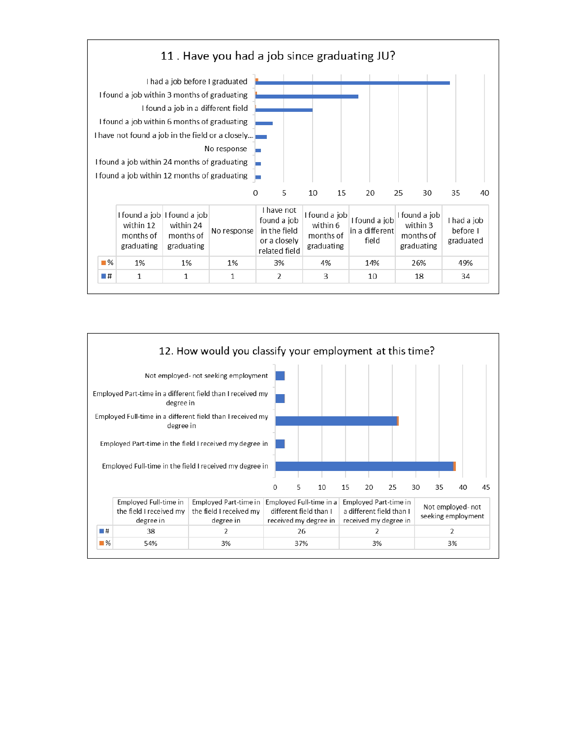